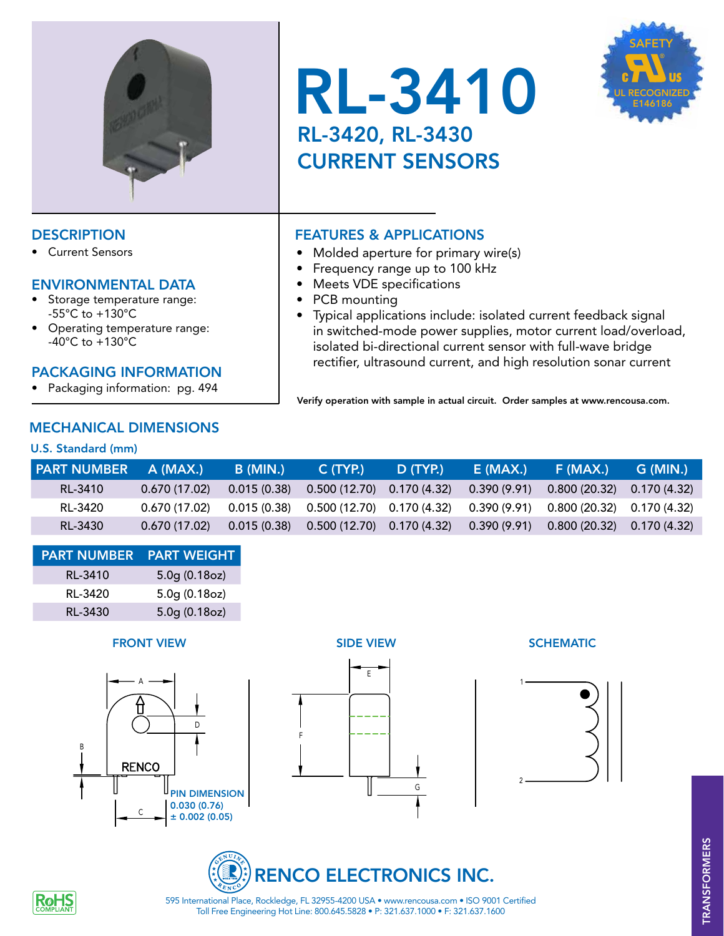

• Current Sensors

### ENVIRONMENTAL DATA

- Storage temperature range: -55°C to +130°C
- Operating temperature range: -40°C to +130°C

## PACKAGING INFORMATION

• Packaging information: pg. 494

# MECHANICAL DIMENSIONS

#### U.S. Standard (mm)

| <b>RL-3410</b>         |  |  |
|------------------------|--|--|
| RL-3420, RL-3430       |  |  |
| <b>CURRENT SENSORS</b> |  |  |



# DESCRIPTION **FEATURES & APPLICATIONS**

- Molded aperture for primary wire(s)
- Frequency range up to 100 kHz
- • Meets VDE specifications
- PCB mounting
- Typical applications include: isolated current feedback signal in switched-mode power supplies, motor current load/overload, isolated bi-directional current sensor with full-wave bridge rectifier, ultrasound current, and high resolution sonar current

Verify operation with sample in actual circuit. Order samples at www.rencousa.com.

| <b>PART NUMBER A (MAX.)</b> |               | <b>B</b> (MIN.) | C(TYP)                                     | D (TYP.) | E (MAX.)    | F (MAX.)                                                                                             | G (MIN.)' |
|-----------------------------|---------------|-----------------|--------------------------------------------|----------|-------------|------------------------------------------------------------------------------------------------------|-----------|
| RL-3410                     | 0.670(17.02)  | 0.015(0.38)     | $0.500(12.70)$ $0.170(4.32)$               |          | 0.390(9.91) | $0.800(20.32)$ $0.170(4.32)$                                                                         |           |
| RL-3420                     |               |                 |                                            |          |             | $0.670(17.02)$ $0.015(0.38)$ $0.500(12.70)$ $0.170(4.32)$ $0.390(9.91)$ $0.800(20.32)$ $0.170(4.32)$ |           |
| RL-3430                     | 0.670 (17.02) |                 | $0.015(0.38)$ $0.500(12.70)$ $0.170(4.32)$ |          |             | $0.390(9.91)$ $0.800(20.32)$ $0.170(4.32)$                                                           |           |

| <b>PART NUMBER PART WEIGHT</b> |                 |
|--------------------------------|-----------------|
| RL-3410                        | 5.0g(0.18oz)    |
| RL-3420                        | $5.0g$ (0.18oz) |
| RL-3430                        | $5.0g$ (0.18oz) |

#### **FRONT VIEW SIDE VIEW SIDE VIEW SCHEMATIC**



E







F



Toll Free Engineering Hot Line: 800.645.5828 • P: 321.637.1000 • F: 321.637.1600 595 International Place, Rockledge, FL 32955-4200 USA • www.rencousa.com • ISO 9001 Certified

G